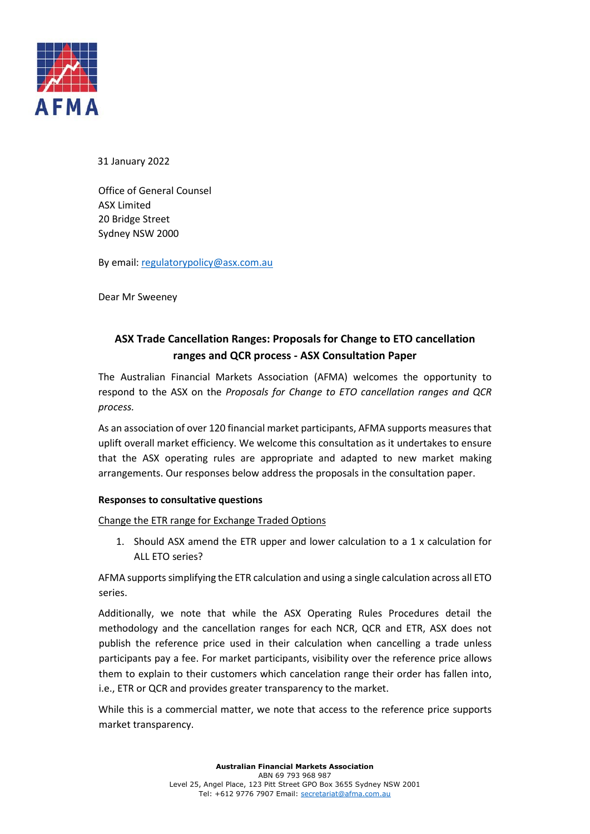

31 January 2022

Office of General Counsel ASX Limited 20 Bridge Street Sydney NSW 2000

By email[: regulatorypolicy@asx.com.au](mailto:regulatorypolicy@asx.com.au)

Dear Mr Sweeney

# **ASX Trade Cancellation Ranges: Proposals for Change to ETO cancellation ranges and QCR process - ASX Consultation Paper**

The Australian Financial Markets Association (AFMA) welcomes the opportunity to respond to the ASX on the *Proposals for Change to ETO cancellation ranges and QCR process.* 

As an association of over 120 financial market participants, AFMA supports measures that uplift overall market efficiency. We welcome this consultation as it undertakes to ensure that the ASX operating rules are appropriate and adapted to new market making arrangements. Our responses below address the proposals in the consultation paper.

#### **Responses to consultative questions**

Change the ETR range for Exchange Traded Options

1. Should ASX amend the ETR upper and lower calculation to a 1 x calculation for ALL ETO series?

AFMA supports simplifying the ETR calculation and using a single calculation across all ETO series.

Additionally, we note that while the ASX Operating Rules Procedures detail the methodology and the cancellation ranges for each NCR, QCR and ETR, ASX does not publish the reference price used in their calculation when cancelling a trade unless participants pay a fee. For market participants, visibility over the reference price allows them to explain to their customers which cancelation range their order has fallen into, i.e., ETR or QCR and provides greater transparency to the market.

While this is a commercial matter, we note that access to the reference price supports market transparency.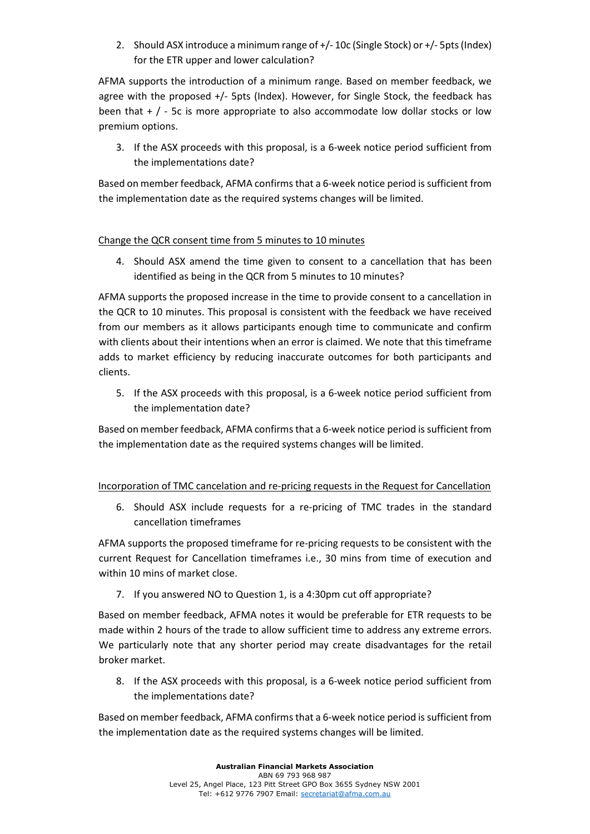2. Should ASX introduce a minimum range of +/- 10c (Single Stock) or +/- 5pts (Index) for the ETR upper and lower calculation?

AFMA supports the introduction of a minimum range. Based on member feedback, we agree with the proposed +/- 5pts (Index). However, for Single Stock, the feedback has been that  $+$  /  $-$  5c is more appropriate to also accommodate low dollar stocks or low premium options.

3. If the ASX proceeds with this proposal, is a 6-week notice period sufficient from the implementations date?

Based on member feedback, AFMA confirms that a 6-week notice period is sufficient from the implementation date as the required systems changes will be limited.

### Change the QCR consent time from 5 minutes to 10 minutes

4. Should ASX amend the time given to consent to a cancellation that has been identified as being in the QCR from 5 minutes to 10 minutes?

AFMA supports the proposed increase in the time to provide consent to a cancellation in the QCR to 10 minutes. This proposal is consistent with the feedback we have received from our members as it allows participants enough time to communicate and confirm with clients about their intentions when an error is claimed. We note that this timeframe adds to market efficiency by reducing inaccurate outcomes for both participants and clients.

5. If the ASX proceeds with this proposal, is a 6-week notice period sufficient from the implementation date?

Based on member feedback, AFMA confirms that a 6-week notice period is sufficient from the implementation date as the required systems changes will be limited.

## Incorporation of TMC cancelation and re-pricing requests in the Request for Cancellation

6. Should ASX include requests for a re-pricing of TMC trades in the standard cancellation timeframes

AFMA supports the proposed timeframe for re-pricing requests to be consistent with the current Request for Cancellation timeframes i.e., 30 mins from time of execution and within 10 mins of market close.

7. If you answered NO to Question 1, is a 4:30pm cut off appropriate?

Based on member feedback, AFMA notes it would be preferable for ETR requests to be made within 2 hours of the trade to allow sufficient time to address any extreme errors. We particularly note that any shorter period may create disadvantages for the retail broker market.

8. If the ASX proceeds with this proposal, is a 6-week notice period sufficient from the implementations date?

Based on member feedback, AFMA confirms that a 6-week notice period is sufficient from the implementation date as the required systems changes will be limited.